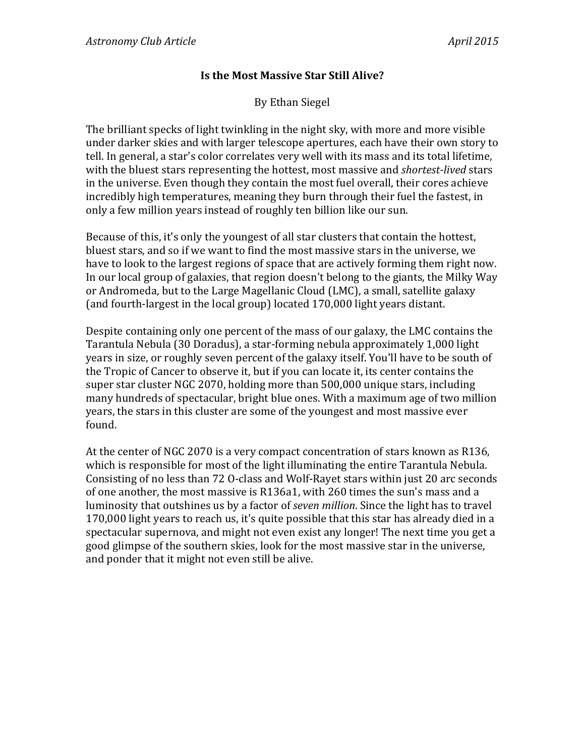## **Is the Most Massive Star Still Alive?**

By Ethan Siegel

The brilliant specks of light twinkling in the night sky, with more and more visible under darker skies and with larger telescope apertures, each have their own story to tell. In general, a star's color correlates very well with its mass and its total lifetime, with the bluest stars representing the hottest, most massive and *shortest-lived* stars in the universe. Even though they contain the most fuel overall, their cores achieve incredibly high temperatures, meaning they burn through their fuel the fastest, in only a few million years instead of roughly ten billion like our sun.

Because of this, it's only the youngest of all star clusters that contain the hottest, bluest stars, and so if we want to find the most massive stars in the universe, we have to look to the largest regions of space that are actively forming them right now. In our local group of galaxies, that region doesn't belong to the giants, the Milky Way or Andromeda, but to the Large Magellanic Cloud (LMC), a small, satellite galaxy (and fourth-largest in the local group) located 170,000 light years distant.

Despite containing only one percent of the mass of our galaxy, the LMC contains the Tarantula Nebula (30 Doradus), a star-forming nebula approximately 1,000 light years in size, or roughly seven percent of the galaxy itself. You'll have to be south of the Tropic of Cancer to observe it, but if you can locate it, its center contains the super star cluster NGC 2070, holding more than 500,000 unique stars, including many hundreds of spectacular, bright blue ones. With a maximum age of two million years, the stars in this cluster are some of the youngest and most massive ever found. 

At the center of NGC 2070 is a very compact concentration of stars known as R136, which is responsible for most of the light illuminating the entire Tarantula Nebula. Consisting of no less than 72 O-class and Wolf-Rayet stars within just 20 arc seconds of one another, the most massive is R136a1, with 260 times the sun's mass and a luminosity that outshines us by a factor of *seven million*. Since the light has to travel 170,000 light years to reach us, it's quite possible that this star has already died in a spectacular supernova, and might not even exist any longer! The next time you get a good glimpse of the southern skies, look for the most massive star in the universe, and ponder that it might not even still be alive.